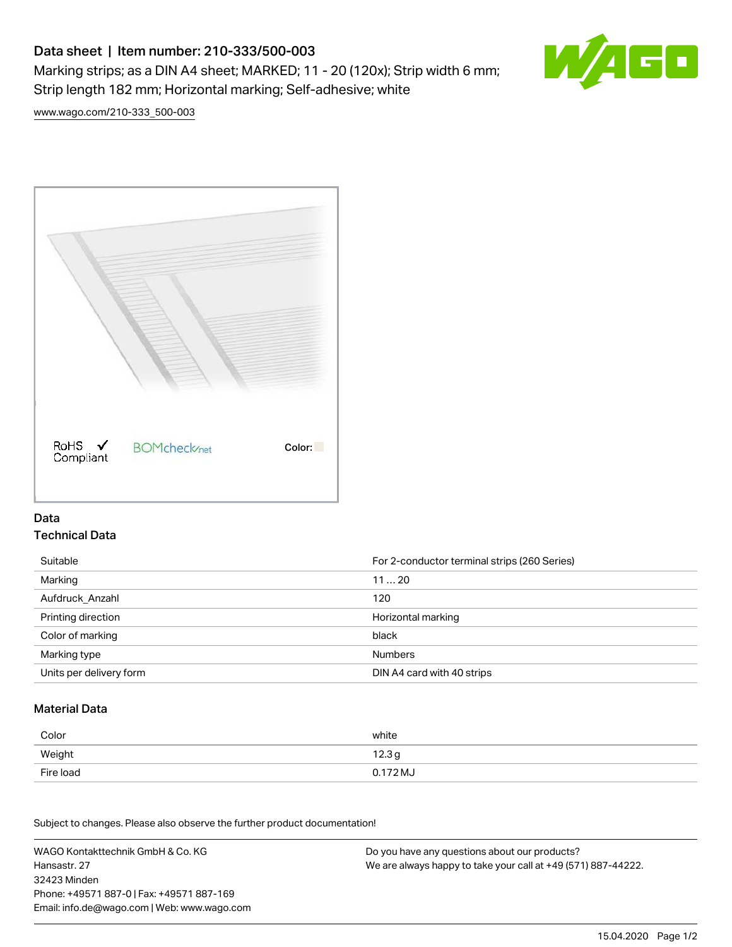# Data sheet | Item number: 210-333/500-003 Marking strips; as a DIN A4 sheet; MARKED; 11 - 20 (120x); Strip width 6 mm; Strip length 182 mm; Horizontal marking; Self-adhesive; white



[www.wago.com/210-333\\_500-003](http://www.wago.com/210-333_500-003)



### Data Technical Data

| Suitable                | For 2-conductor terminal strips (260 Series) |
|-------------------------|----------------------------------------------|
| Marking                 | 1120                                         |
| Aufdruck Anzahl         | 120                                          |
| Printing direction      | Horizontal marking                           |
| Color of marking        | black                                        |
| Marking type            | <b>Numbers</b>                               |
| Units per delivery form | DIN A4 card with 40 strips                   |

#### Material Data

| Color     | white             |
|-----------|-------------------|
| Weight    | 12.3 <sub>g</sub> |
| Fire load | 0.172 MJ          |

Subject to changes. Please also observe the further product documentation!

WAGO Kontakttechnik GmbH & Co. KG Hansastr. 27 32423 Minden Phone: +49571 887-0 | Fax: +49571 887-169 Email: info.de@wago.com | Web: www.wago.com Do you have any questions about our products? We are always happy to take your call at +49 (571) 887-44222.